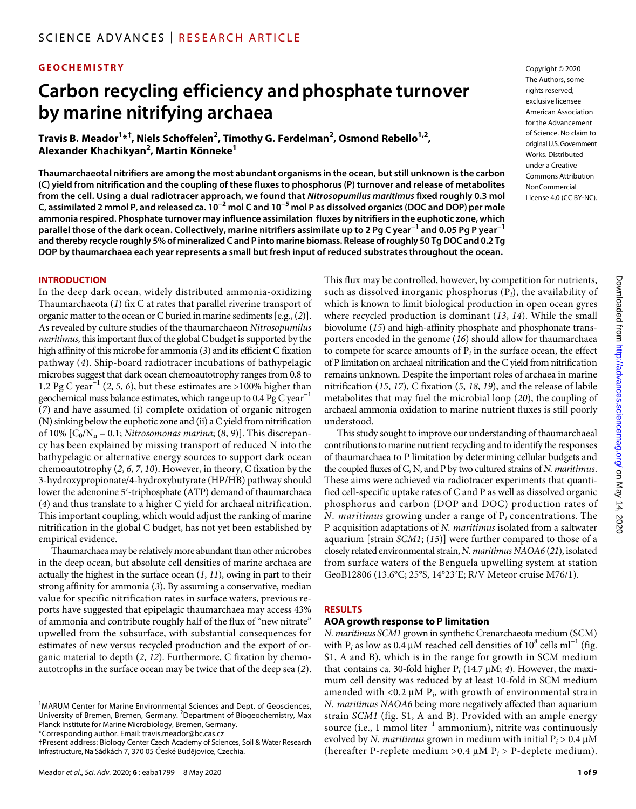#### **GEOCHEMISTRY**

# **Carbon recycling efficiency and phosphate turnover by marine nitrifying archaea**

**Travis B. Meador1 \*† , Niels Schoffelen2 , Timothy G. Ferdelman2 , Osmond Rebello1,2, Alexander Khachikyan<sup>2</sup> , Martin Könneke1**

**Thaumarchaeotal nitrifiers are among the most abundant organisms in the ocean, but still unknown is the carbon (C) yield from nitrification and the coupling of these fluxes to phosphorus (P) turnover and release of metabolites from the cell. Using a dual radiotracer approach, we found that** *Nitrosopumilus maritimus* **fixed roughly 0.3 mol C, assimilated 2 mmol P, and released ca. 10−2 mol C and 10−5 mol P as dissolved organics (DOC and DOP) per mole ammonia respired. Phosphate turnover may influence assimilation fluxes by nitrifiers in the euphotic zone, which parallel those of the dark ocean. Collectively, marine nitrifiers assimilate up to 2 Pg C year−1 and 0.05 Pg P year−1 and thereby recycle roughly 5% of mineralized C and P into marine biomass. Release of roughly 50 Tg DOC and 0.2 Tg DOP by thaumarchaea each year represents a small but fresh input of reduced substrates throughout the ocean.**

#### **INTRODUCTION**

In the deep dark ocean, widely distributed ammonia-oxidizing Thaumarchaeota (*1*) fix C at rates that parallel riverine transport of organic matter to the ocean or C buried in marine sediments [e.g., (*2*)]. As revealed by culture studies of the thaumarchaeon *Nitrosopumilus maritimus*, this important flux of the global C budget is supported by the high affinity of this microbe for ammonia (*3*) and its efficient C fixation pathway (*4*). Ship-board radiotracer incubations of bathypelagic microbes suggest that dark ocean chemoautotrophy ranges from 0.8 to 1.2 Pg C year−1 (*2*, *5*, *6*), but these estimates are >100% higher than geochemical mass balance estimates, which range up to 0.4 Pg C year<sup>-1</sup> (*7*) and have assumed (i) complete oxidation of organic nitrogen (N) sinking below the euphotic zone and (ii) a C yield from nitrification of 10%  $[C_0/N_n = 0.1; *Nitrosomonas marina*; (8, 9)].$  This discrepancy has been explained by missing transport of reduced N into the bathypelagic or alternative energy sources to support dark ocean chemoautotrophy (*2*, *6*, *7*, *10*). However, in theory, C fixation by the 3-hydroxypropionate/4-hydroxybutyrate (HP/HB) pathway should lower the adenonine 5′-triphosphate (ATP) demand of thaumarchaea (*4*) and thus translate to a higher C yield for archaeal nitrification. This important coupling, which would adjust the ranking of marine nitrification in the global C budget, has not yet been established by empirical evidence.

Thaumarchaea may be relatively more abundant than other microbes in the deep ocean, but absolute cell densities of marine archaea are actually the highest in the surface ocean (*1*, *11*), owing in part to their strong affinity for ammonia (*3*). By assuming a conservative, median value for specific nitrification rates in surface waters, previous reports have suggested that epipelagic thaumarchaea may access 43% of ammonia and contribute roughly half of the flux of "new nitrate" upwelled from the subsurface, with substantial consequences for estimates of new versus recycled production and the export of organic material to depth (*2*, *12*). Furthermore, C fixation by chemoautotrophs in the surface ocean may be twice that of the deep sea (*2*).

Copyright © 2020 The Authors, some rights reserved: exclusive licensee American Association for the Advancement of Science. No claim to original U.S.Government Works. Distributed under a Creative Commons Attribution **NonCommercial** License 4.0 (CC BY-NC).

This flux may be controlled, however, by competition for nutrients, such as dissolved inorganic phosphorus (P*i*), the availability of which is known to limit biological production in open ocean gyres where recycled production is dominant (*13*, *14*). While the small biovolume (*15*) and high-affinity phosphate and phosphonate transporters encoded in the genome (*16*) should allow for thaumarchaea to compete for scarce amounts of  $P_i$  in the surface ocean, the effect of P limitation on archaeal nitrification and the C yield from nitrification remains unknown. Despite the important roles of archaea in marine nitrification (*15*, *17*), C fixation (*5*, *18*, *19*), and the release of labile metabolites that may fuel the microbial loop (*20*), the coupling of archaeal ammonia oxidation to marine nutrient fluxes is still poorly understood.

This study sought to improve our understanding of thaumarchaeal contributions to marine nutrient recycling and to identify the responses of thaumarchaea to P limitation by determining cellular budgets and the coupled fluxes of C, N, and P by two cultured strains of *N. maritimus*. These aims were achieved via radiotracer experiments that quantified cell-specific uptake rates of C and P as well as dissolved organic phosphorus and carbon (DOP and DOC) production rates of *N. maritimus* growing under a range of P*i* concentrations. The P acquisition adaptations of *N. maritimus* isolated from a saltwater aquarium [strain *SCM1*; (*15*)] were further compared to those of a closely related environmental strain, *N. maritimus NAOA6* (*21*), isolated from surface waters of the Benguela upwelling system at station GeoB12806 (13.6°C; 25°S, 14°23′E; R/V Meteor cruise M76/1).

#### **RESULTS**

#### **AOA growth response to P limitation**

*N. maritimus SCM1* grown in synthetic Crenarchaeota medium (SCM) with P<sub>i</sub> as low as 0.4 µM reached cell densities of  $10^8$  cells ml<sup>-1</sup> (fig. S1, A and B), which is in the range for growth in SCM medium that contains ca. 30-fold higher  $P_i$  (14.7  $\mu$ M; 4). However, the maximum cell density was reduced by at least 10-fold in SCM medium amended with  $\langle 0.2 \mu M P_i \rangle$  with growth of environmental strain *N. maritimus NAOA6* being more negatively affected than aquarium strain *SCM1* (fig. S1, A and B). Provided with an ample energy source (i.e., 1 mmol liter<sup>-1</sup> ammonium), nitrite was continuously evolved by *N. maritimus* grown in medium with initial  $P_i > 0.4 \mu M$ (hereafter P-replete medium > 0.4  $\mu$ M P<sub>i</sub> > P-deplete medium).

<sup>&</sup>lt;sup>1</sup>MARUM Center for Marine Environmental Sciences and Dept. of Geosciences, University of Bremen, Bremen, Germany. <sup>2</sup>Department of Biogeochemistry, Max Planck Institute for Marine Microbiology, Bremen, Germany. \*Corresponding author. Email: travis.meador@bc.cas.cz

<sup>†</sup>Present address: Biology Center Czech Academy of Sciences, Soil & Water Research Infrastructure, Na Sádkách 7, 370 05 České Budějovice, Czechia.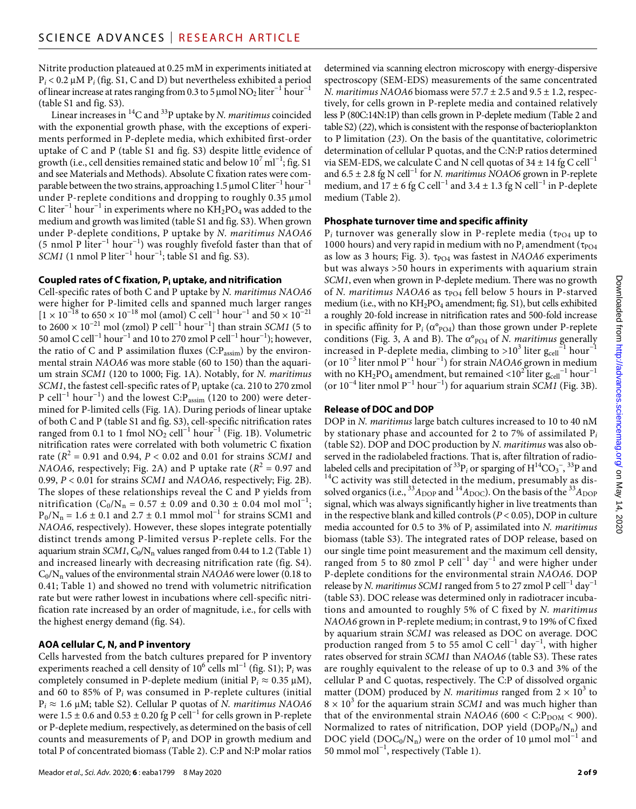Nitrite production plateaued at 0.25 mM in experiments initiated at  $P_i$  < 0.2  $\mu$ M  $P_i$  (fig. S1, C and D) but nevertheless exhibited a period of linear increase at rates ranging from 0.3 to 5 µmol  $NO<sub>2</sub>$  liter<sup>-1</sup> hour<sup>-1</sup> (table S1 and fig. S3).

Linear increases in 14C and 33P uptake by *N. maritimus* coincided with the exponential growth phase, with the exceptions of experiments performed in P-deplete media, which exhibited first-order uptake of C and P (table S1 and fig. S3) despite little evidence of growth (i.e., cell densities remained static and below  $10^7\,\mathrm{ml}^{-1}$ ; fig. S1 and see Materials and Methods). Absolute C fixation rates were comparable between the two strains, approaching 1.5 µmol C liter<sup>-1</sup> hour<sup>-1</sup> under P-replete conditions and dropping to roughly 0.35 µmol C liter<sup>-1</sup> hour<sup>-1</sup> in experiments where no KH<sub>2</sub>PO<sub>4</sub> was added to the medium and growth was limited (table S1 and fig. S3). When grown under P-deplete conditions, P uptake by *N. maritimus NAOA6* (5 nmol P liter−1 hour−1) was roughly fivefold faster than that of *SCM1* (1 nmol P liter<sup>-1</sup> hour<sup>-1</sup>; table S1 and fig. S3).

#### **Coupled rates of C fixation, Pi uptake, and nitrification**

Cell-specific rates of both C and P uptake by *N. maritimus NAOA6* were higher for P-limited cells and spanned much larger ranges  $[1 \times 10^{-18}$  to 650 × 10<sup>-18</sup> mol (amol) C cell<sup>-1</sup> hour<sup>-1</sup> and 50 × 10<sup>-21</sup> to 2600 × 10<sup>-21</sup> mol (zmol) P cell<sup>-1</sup> hour<sup>-1</sup>] than strain *SCM1* (5 to 50 amol C cell−1 hour−1 and 10 to 270 zmol P cell−1 hour−1); however, the ratio of C and P assimilation fluxes (C:P<sub>assim</sub>) by the environmental strain *NAOA6* was more stable (60 to 150) than the aquarium strain *SCM1* (120 to 1000; Fig. 1A). Notably, for *N. maritimus SCM1*, the fastest cell-specific rates of P*i* uptake (ca. 210 to 270 zmol P cell<sup>-1</sup> hour<sup>-1</sup>) and the lowest C:P<sub>assim</sub> (120 to 200) were determined for P-limited cells (Fig. 1A). During periods of linear uptake of both C and P (table S1 and fig. S3), cell-specific nitrification rates ranged from 0.1 to 1 fmol  $NO<sub>2</sub>$  cell<sup>-1</sup> hour<sup>-1</sup> (Fig. 1B). Volumetric nitrification rates were correlated with both volumetric C fixation rate  $(R^2 = 0.91$  and 0.94,  $P < 0.02$  and 0.01 for strains *SCM1* and *NAOA6*, respectively; Fig. 2A) and P uptake rate ( $R^2 = 0.97$  and 0.99, *P* < 0.01 for strains *SCM1* and *NAOA6*, respectively; Fig. 2B). The slopes of these relationships reveal the C and P yields from nitrification ( $C_0/N_n = 0.57 \pm 0.09$  and  $0.30 \pm 0.04$  mol mol<sup>-1</sup>;  $P_0/N_n = 1.6 \pm 0.1$  and  $2.7 \pm 0.1$  mmol mol<sup>-1</sup> for strains SCM1 and *NAOA6*, respectively). However, these slopes integrate potentially distinct trends among P-limited versus P-replete cells. For the aquarium strain *SCM1*, C<sub>0</sub>/N<sub>n</sub> values ranged from 0.44 to 1.2 (Table 1) and increased linearly with decreasing nitrification rate (fig. S4).  $C_0/N_n$  values of the environmental strain *NAOA6* were lower (0.18 to 0.41; Table 1) and showed no trend with volumetric nitrification rate but were rather lowest in incubations where cell-specific nitrification rate increased by an order of magnitude, i.e., for cells with the highest energy demand (fig. S4).

# **AOA cellular C, N, and P inventory**

Cells harvested from the batch cultures prepared for P inventory experiments reached a cell density of 10<sup>6</sup> cells ml<sup>−1</sup> (fig. S1); P<sub>*i*</sub> was completely consumed in P-deplete medium (initial  $P_i \approx 0.35 \mu M$ ), and 60 to 85% of P*i* was consumed in P-replete cultures (initial  $P_i \approx 1.6 \mu M$ ; table S2). Cellular P quotas of *N. maritimus NAOA6* were  $1.5 \pm 0.6$  and  $0.53 \pm 0.20$  fg P cell<sup>-1</sup> for cells grown in P-replete or P-deplete medium, respectively, as determined on the basis of cell counts and measurements of P*i* and DOP in growth medium and total P of concentrated biomass (Table 2). C:P and N:P molar ratios

Meador *et al*., *Sci. Adv.* 2020; **6** : eaba1799 8 May 2020

determined via scanning electron microscopy with energy-dispersive spectroscopy (SEM-EDS) measurements of the same concentrated *N. maritimus NAOA6* biomass were  $57.7 \pm 2.5$  and  $9.5 \pm 1.2$ , respectively, for cells grown in P-replete media and contained relatively less P (80C:14N:1P) than cells grown in P-deplete medium (Table 2 and table S2) (*22*), which is consistent with the response of bacterioplankton to P limitation (*23*). On the basis of the quantitative, colorimetric determination of cellular P quotas, and the C:N:P ratios determined via SEM-EDS, we calculate C and N cell quotas of  $34 \pm 14$  fg C cell<sup>-1</sup> and 6.5 ± 2.8 fg N cell−1 for *N. maritimus NOAO6* grown in P-replete medium, and  $17 \pm 6$  fg C cell<sup>-1</sup> and  $3.4 \pm 1.3$  fg N cell<sup>-1</sup> in P-deplete medium (Table 2).

# **Phosphate turnover time and specific affinity**

 $P_i$  turnover was generally slow in P-replete media ( $\tau_{PO4}$  up to 1000 hours) and very rapid in medium with no  $P_i$  amendment ( $\tau_{PO4}$ as low as 3 hours; Fig. 3).  $\tau_{PO4}$  was fastest in *NAOA6* experiments but was always >50 hours in experiments with aquarium strain *SCM1*, even when grown in P-deplete medium. There was no growth of *N. maritimus NAOA6* as  $\tau_{PO4}$  fell below 5 hours in P-starved medium (i.e., with no  $KH_2PO_4$  amendment; fig. S1), but cells exhibited a roughly 20-fold increase in nitrification rates and 500-fold increase in specific affinity for  $P_i$  ( $\alpha^{\circ}$ <sub>PO4</sub>) than those grown under P-replete conditions (Fig. 3, A and B). The  $\alpha^{\circ}$ <sub>PO4</sub> of *N. maritimus* generally increased in P-deplete media, climbing to >10<sup>3</sup> liter  $\rm g_{cell}^{-1}$  hour $^{-1}$ (or 10−3 liter nmol P−1 hour−1) for strain *NAOA6* grown in medium with no  $\rm{KH_{2}PO_{4}}$  amendment, but remained <10<sup>2</sup> liter  $\rm{g_{cell}}^{-1}$  hour $^{-1}$ (or 10−4 liter nmol P−1 hour−1) for aquarium strain *SCM1* (Fig. 3B).

# **Release of DOC and DOP**

DOP in *N. maritimus* large batch cultures increased to 10 to 40 nM by stationary phase and accounted for 2 to 7% of assimilated P*<sup>i</sup>* (table S2). DOP and DOC production by *N. maritimus* was also observed in the radiolabeled fractions. That is, after filtration of radiolabeled cells and precipitation of <sup>33</sup>P<sub>i</sub> or sparging of  $H^{14}CO_3^-$ ,  $14$ C activity was still detected in the medium, presumably as dissolved organics (i.e.,  $^{33}A_{\text{DOP}}$  and  $^{14}A_{\text{DOC}}$ ). On the basis of the  $^{33}A_{\text{DOP}}$ signal, which was always significantly higher in live treatments than in the respective blank and killed controls (*P* < 0.05), DOP in culture media accounted for 0.5 to 3% of P*i* assimilated into *N. maritimus* biomass (table S3). The integrated rates of DOP release, based on our single time point measurement and the maximum cell density, ranged from 5 to 80 zmol P cell<sup>-1</sup> day<sup>-1</sup> and were higher under P-deplete conditions for the environmental strain *NAOA6*. DOP release by *N. maritimus SCM1* ranged from 5 to 27 zmol P cell<sup>-1</sup> day<sup>-1</sup> (table S3). DOC release was determined only in radiotracer incubations and amounted to roughly 5% of C fixed by *N. maritimus NAOA6* grown in P-replete medium; in contrast, 9 to 19% of C fixed by aquarium strain *SCM1* was released as DOC on average. DOC production ranged from 5 to 55 amol C cell<sup>-1</sup> day<sup>-1</sup>, with higher rates observed for strain *SCM1* than *NAOA6* (table S3). These rates are roughly equivalent to the release of up to 0.3 and 3% of the cellular P and C quotas, respectively. The C:P of dissolved organic matter (DOM) produced by *N. maritimus* ranged from  $2 \times 10^3$  to  $8 \times 10^3$  for the aquarium strain *SCM1* and was much higher than that of the environmental strain *NAOA6* (600 <  $\text{C:} \text{P}_\text{DOM}$  < 900). Normalized to rates of nitrification, DOP yield  $(DOP_0/N_n)$  and DOC yield (DOC<sub>0</sub>/N<sub>n</sub>) were on the order of 10 µmol mol<sup>-1</sup> and 50 mmol mol−1, respectively (Table 1).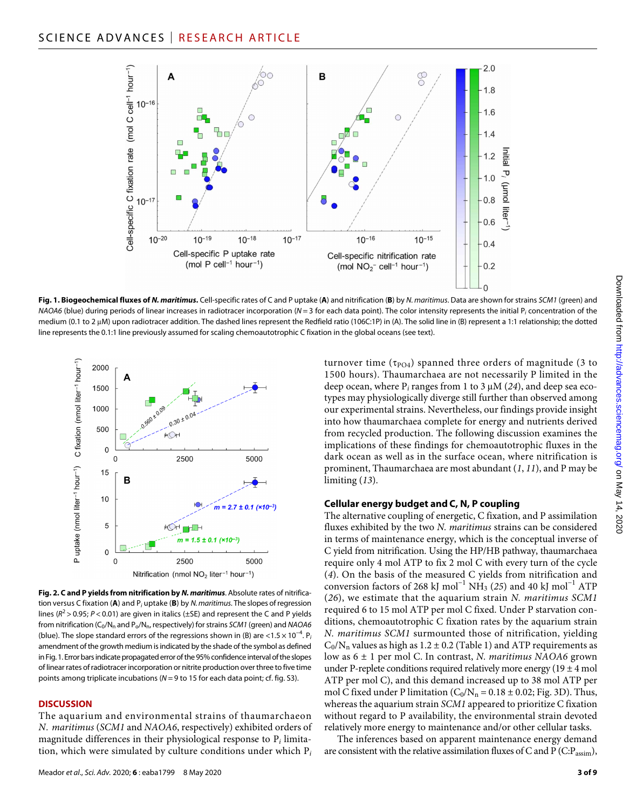

**Fig. 1. Biogeochemical fluxes of** *N. maritimus***.** Cell-specific rates of C and P uptake (**A**) and nitrification (**B**) by *N. maritimus*. Data are shown for strains *SCM1* (green) and *NAOA6* (blue) during periods of linear increases in radiotracer incorporation (*N* = 3 for each data point). The color intensity represents the initial P*i* concentration of the medium (0.1 to 2 µM) upon radiotracer addition. The dashed lines represent the Redfield ratio (106C:1P) in (A). The solid line in (B) represent a 1:1 relationship; the dotted line represents the 0.1:1 line previously assumed for scaling chemoautotrophic C fixation in the global oceans (see text).



**Fig. 2. C and P yields from nitrification by** *N. maritimus*. Absolute rates of nitrification versus C fixation (**A**) and P*i* uptake (**B**) by *N. maritimus*. The slopes of regression lines ( $R^2$  > 0.95;  $P$  < 0.01) are given in italics ( $\pm$ SE) and represent the C and P yields from nitrification (C<sub>0</sub>/N<sub>n</sub> and P<sub>o</sub>/N<sub>n</sub>, respectively) for strains *SCM1* (green) and *NAOA6* (blue). The slope standard errors of the regressions shown in (B) are <1.5 × 10−4. P*<sup>i</sup>* amendment of the growth medium is indicated by the shade of the symbol as defined in Fig.1. Error bars indicate propagated error of the 95% confidence interval of the slopes of linear rates of radiotracer incorporation or nitrite production over three to five time points among triplicate incubations (*N* = 9 to 15 for each data point; cf. fig. S3).

#### **DISCUSSION**

The aquarium and environmental strains of thaumarchaeon *N. maritimus* (*SCM1* and *NAOA6*, respectively) exhibited orders of magnitude differences in their physiological response to P*i* limitation, which were simulated by culture conditions under which P*<sup>i</sup>*

turnover time ( $\tau_{\text{PO4}}$ ) spanned three orders of magnitude (3 to 1500 hours). Thaumarchaea are not necessarily P limited in the deep ocean, where  $P_i$  ranges from 1 to 3  $\mu$ M (24), and deep sea ecotypes may physiologically diverge still further than observed among our experimental strains. Nevertheless, our findings provide insight into how thaumarchaea complete for energy and nutrients derived from recycled production. The following discussion examines the implications of these findings for chemoautotrophic fluxes in the dark ocean as well as in the surface ocean, where nitrification is prominent, Thaumarchaea are most abundant (*1*, *11*), and P may be limiting (*13*).

#### **Cellular energy budget and C, N, P coupling**

The alternative coupling of energetic, C fixation, and P assimilation fluxes exhibited by the two *N. maritimus* strains can be considered in terms of maintenance energy, which is the conceptual inverse of C yield from nitrification. Using the HP/HB pathway, thaumarchaea require only 4 mol ATP to fix 2 mol C with every turn of the cycle (*4*). On the basis of the measured C yields from nitrification and conversion factors of 268 kJ mol<sup>-1</sup> NH<sub>3</sub> (25) and 40 kJ mol<sup>-1</sup> ATP (*26*), we estimate that the aquarium strain *N. maritimus SCM1* required 6 to 15 mol ATP per mol C fixed. Under P starvation conditions, chemoautotrophic C fixation rates by the aquarium strain *N. maritimus SCM1* surmounted those of nitrification, yielding  $C_0/N_n$  values as high as  $1.2 \pm 0.2$  (Table 1) and ATP requirements as low as 6 ± 1 per mol C. In contrast, *N. maritimus NAOA6* grown under P-replete conditions required relatively more energy  $(19 \pm 4 \text{ mol})$ ATP per mol C), and this demand increased up to 38 mol ATP per mol C fixed under P limitation  $(C_0/N_n = 0.18 \pm 0.02$ ; Fig. 3D). Thus, whereas the aquarium strain *SCM1* appeared to prioritize C fixation without regard to P availability, the environmental strain devoted relatively more energy to maintenance and/or other cellular tasks.

The inferences based on apparent maintenance energy demand are consistent with the relative assimilation fluxes of C and P (C: $P_{\text{assim}}$ ),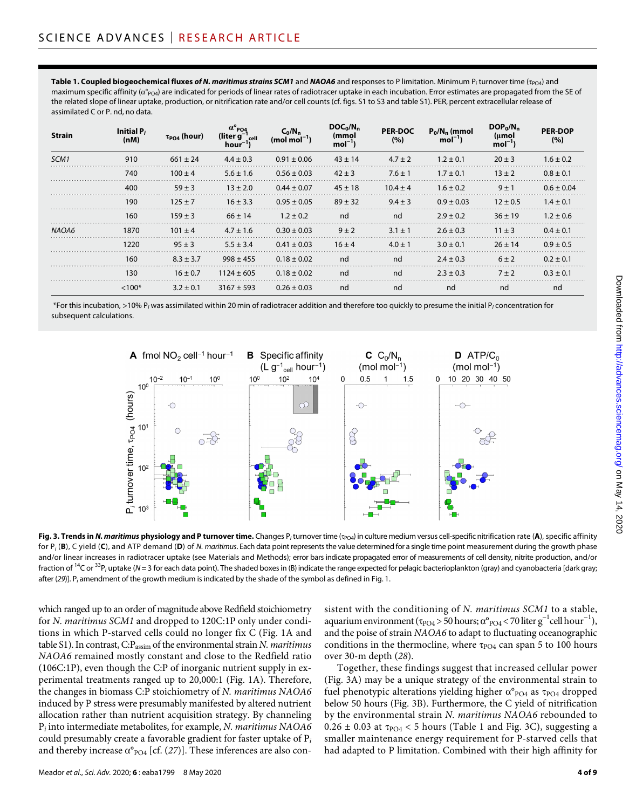**Table 1. Coupled biogeochemical fluxes of N. maritimus strains SCM1** and **NAOA6** and responses to P limitation. Minimum P<sub>i</sub> turnover time ( $\tau_{\text{DOA}}$ ) and maximum specific affinity ( $\alpha^{\circ}$ <sub>PO4</sub>) are indicated for periods of linear rates of radiotracer uptake in each incubation. Error estimates are propagated from the SE of the related slope of linear uptake, production, or nitrification rate and/or cell counts (cf. figs. S1 to S3 and table S1). PER, percent extracellular release of assimilated C or P. nd, no data.

| Strain           | Initial P <sub>i</sub><br>(nM) | $\tau_{\text{PO4}}$ (hour) | (liter a<br>hour | (mol mol        | mmo)<br>mol | <b>PER-DOC</b><br>(%) | $P_0/N_n$ (mmol<br>$mol-1$ | $DOP_0/N_n$<br>mol | <b>PER-DOP</b><br>(%) |
|------------------|--------------------------------|----------------------------|------------------|-----------------|-------------|-----------------------|----------------------------|--------------------|-----------------------|
| SCM <sub>1</sub> | 910                            | $661 + 24$                 | $44 + 03$        | $0.91 + 0.06$   | $43 + 14$   | $47 + 2$              | $7 + 01$                   | 20 + 3             | $1.6 + 0.2$           |
|                  | 740                            | $100 + 4$                  | $5.6 + 1.6$      | $0.56 + 0.03$   | $42 + 3$    | $7.6 + 1$             | 17+01                      | $13 + 2$           | 08+01                 |
|                  | 400                            | $59 + 3$                   | $13 + 2.0$       | $+0.07$         | $45 + 18$   | $104 + 4$             | $1.6 + 0.2$                | $9 + 1$            |                       |
|                  | 190                            | $125 + 7$                  | $16 + 3.3$       | $0.95 + 0.05$   | $89 + 32$   | $9.4 + 3$             | $0.9 + 0.03$               | $12 + 05$          | $14 + 01$             |
|                  | 160                            | $159 + 3$                  | $66 + 14$        | $1.2 + 0.2$     | nd          | nd                    | $2.9 + 0.2$                | $36 + 19$          | $12 + 06$             |
|                  | 1870                           | $101 + 4$                  | $4.7 \pm 1.6$    | $0.30 + 0.03$   | $9 + 2$     | $3.1 + 1$             | $2.6 + 0.3$                | $11 + 3$           | $04 + 0^{\circ}$      |
|                  | 1220                           | $95 + 3$                   | $5.5 \pm 3.4$    | $0.41 \pm 0.03$ | $16 + 4$    | $4.0 + 1$             | $3.0 + 0.1$                | $26 + 14$          | $0.9 + 0.5$           |
|                  | 160                            | $8.3 + 3.7$                | $998 \pm 455$    | $0.18 + 0.02$   | nd          | nd                    | .<br>$7.4 + 0.3$           | $6 + 2$            | $0.2 + 0.1$           |
|                  | 130                            | $16 \pm 0.7$               | $1124 \pm 605$   | $0.18 + 0.02$   | nd          | nd                    | $2.3 + 0.3$                | $7 + 2$            | $0.3 + 0.1$           |
|                  | $~<$ 100*                      | $3.2 \pm 0.1$              | $3167 + 593$     | $0.26 + 0.03$   | nd          | nd                    | nd                         | nd                 | nd                    |

 \*For this incubation, >10% P*i* was assimilated within 20 min of radiotracer addition and therefore too quickly to presume the initial P*i* concentration for subsequent calculations.



**Fig. 3. Trends in** *N. maritimus* **physiology and P turnover time.** Changes  $P_i$  turnover time ( $p_{\text{O4}}$ ) in culture medium versus cell-specific nitrification rate (**A**), specific affinity for P*i* (**B**), C yield (**C**), and ATP demand (**D**) of *N. maritimus*. Each data point represents the value determined for a single time point measurement during the growth phase and/or linear increases in radiotracer uptake (see Materials and Methods); error bars indicate propagated error of measurements of cell density, nitrite production, and/or fraction of <sup>14</sup>C or <sup>33</sup>P<sub>i</sub> uptake (*N* = 3 for each data point). The shaded boxes in (B) indicate the range expected for pelagic bacterioplankton (gray) and cyanobacteria [dark gray; after (*29*)]. P*i* amendment of the growth medium is indicated by the shade of the symbol as defined in Fig. 1.

which ranged up to an order of magnitude above Redfield stoichiometry for *N. maritimus SCM1* and dropped to 120C:1P only under conditions in which P-starved cells could no longer fix C (Fig. 1A and table S1). In contrast, C:Passim of the environmental strain *N. maritimus NAOA6* remained mostly constant and close to the Redfield ratio (106C:1P), even though the C:P of inorganic nutrient supply in experimental treatments ranged up to 20,000:1 (Fig. 1A). Therefore, the changes in biomass C:P stoichiometry of *N. maritimus NAOA6* induced by P stress were presumably manifested by altered nutrient allocation rather than nutrient acquisition strategy. By channeling P*i* into intermediate metabolites, for example, *N. maritimus NAOA6* could presumably create a favorable gradient for faster uptake of P*<sup>i</sup>* and thereby increase  $\alpha^{\circ}$ <sub>PO4</sub> [cf. (27)]. These inferences are also consistent with the conditioning of *N. maritimus SCM1* to a stable, aquarium environment ( $\tau_{\text{PO4}} > 50$  hours;  $\alpha^{\circ}_{\text{PO4}} < 70$  liter  $g^{-1}$ cell hour<sup>-1</sup>), and the poise of strain *NAOA6* to adapt to fluctuating oceanographic conditions in the thermocline, where  $\tau_{\text{PO4}}$  can span 5 to 100 hours over 30-m depth (*28*).

Together, these findings suggest that increased cellular power (Fig. 3A) may be a unique strategy of the environmental strain to fuel phenotypic alterations yielding higher  $\alpha^{\circ}$ <sub>PO4</sub> as  $\tau$ <sub>PO4</sub> dropped below 50 hours (Fig. 3B). Furthermore, the C yield of nitrification by the environmental strain *N. maritimus NAOA6* rebounded to  $0.26 \pm 0.03$  at  $\tau_{\text{PO4}}$  < 5 hours (Table 1 and Fig. 3C), suggesting a smaller maintenance energy requirement for P-starved cells that had adapted to P limitation. Combined with their high affinity for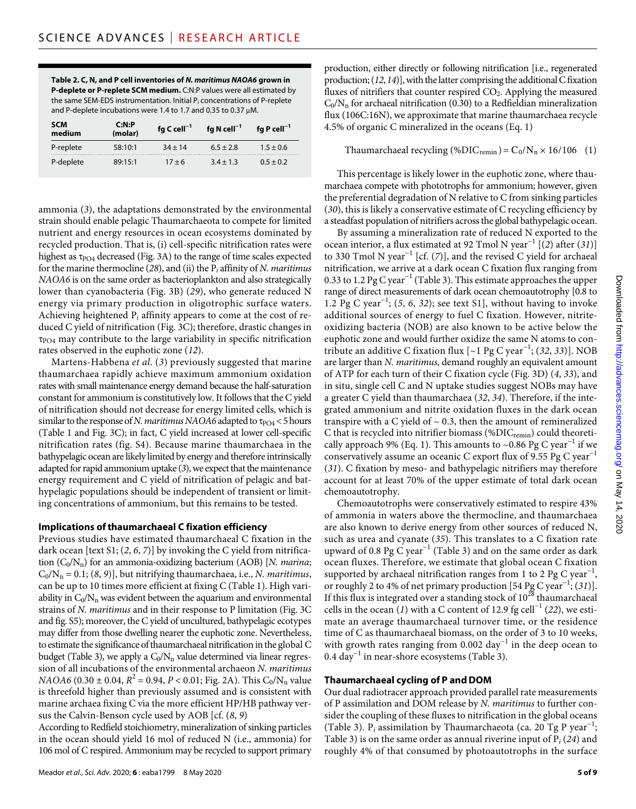**Table 2. C, N, and P cell inventories of** *N. maritimus NAOA6* **grown in P-deplete or P-replete SCM medium.** C:N:P values were all estimated by the same SEM-EDS instrumentation. Initial P*i* concentrations of P-replete and P-deplete incubations were 1.4 to 1.7 and 0.35 to 0.37  $\mu$ M.

| SCM<br>medium | C: N:P<br>(molar) | fg C cell <sup>-1</sup> | fg N cell $^{-1}$ | fg P cell <sup>-1</sup> |
|---------------|-------------------|-------------------------|-------------------|-------------------------|
| P-replete     | 58:10:1           | $34 + 14$               | $6.5 \pm 2.8$     | $1.5 \pm 0.6$           |
| P-deplete     | 89:15:1           | $17 + 6$                | $3.4 + 1.3$       | $0.5 \pm 0.2$           |

ammonia (*3*), the adaptations demonstrated by the environmental strain should enable pelagic Thaumarchaeota to compete for limited nutrient and energy resources in ocean ecosystems dominated by recycled production. That is, (i) cell-specific nitrification rates were highest as  $\tau_{PO4}$  decreased (Fig. 3A) to the range of time scales expected for the marine thermocline (*28*), and (ii) the P*i* affinity of *N. maritimus NAOA6* is on the same order as bacterioplankton and also strategically lower than cyanobacteria (Fig. 3B) (*29*), who generate reduced N energy via primary production in oligotrophic surface waters. Achieving heightened P*i* affinity appears to come at the cost of reduced C yield of nitrification (Fig. 3C); therefore, drastic changes in  $\tau_{PO4}$  may contribute to the large variability in specific nitrification rates observed in the euphotic zone (*12*).

Martens-Habbena *et al*. (*3*) previously suggested that marine thaumarchaea rapidly achieve maximum ammonium oxidation rates with small maintenance energy demand because the half-saturation constant for ammonium is constitutively low. It follows that the C yield of nitrification should not decrease for energy limited cells, which is similar to the response of *N. maritimus NAOA6* adapted to  $\tau_{\text{PO4}}$  < 5 hours (Table 1 and Fig. 3C); in fact, C yield increased at lower cell-specific nitrification rates (fig. S4). Because marine thaumarchaea in the bathypelagic ocean are likely limited by energy and therefore intrinsically adapted for rapid ammonium uptake (*3*), we expect that the maintenance energy requirement and C yield of nitrification of pelagic and bathypelagic populations should be independent of transient or limiting concentrations of ammonium, but this remains to be tested.

#### **Implications ofthaumarchaeal C fixation efficiency**

Previous studies have estimated thaumarchaeal C fixation in the dark ocean [text S1; (*2*, *6*, *7*)] by invoking the C yield from nitrification (C<sub>0</sub>/N<sub>n</sub>) for an ammonia-oxidizing bacterium (AOB) [*N. marina*;  $C_0/N_n = 0.1$ ; (8, 9)], but nitrifying thaumarchaea, i.e., *N. maritimus*, can be up to 10 times more efficient at fixing C (Table 1). High variability in  $C_0/N_n$  was evident between the aquarium and environmental strains of *N. maritimus* and in their response to P limitation (Fig. 3C and fig. S5); moreover, the C yield of uncultured, bathypelagic ecotypes may differ from those dwelling nearer the euphotic zone. Nevertheless, to estimate the significance of thaumarchaeal nitrification in the global C budget (Table 3), we apply a  $C_0/N_n$  value determined via linear regression of all incubations of the environmental archaeon *N. maritimus NAOA6* (0.30  $\pm$  0.04,  $R^2$  = 0.94, *P* < 0.01; Fig. 2A). This C<sub>0</sub>/N<sub>n</sub> value is threefold higher than previously assumed and is consistent with marine archaea fixing C via the more efficient HP/HB pathway versus the Calvin-Benson cycle used by AOB [cf. (*8*, *9*)

According to Redfield stoichiometry, mineralization of sinking particles in the ocean should yield 16 mol of reduced N (i.e., ammonia) for 106 mol of C respired. Ammonium may be recycled to support primary

production, either directly or following nitrification [i.e., regenerated production; (*12*,*14*)], with the latter comprising the additional C fixation fluxes of nitrifiers that counter respired  $CO<sub>2</sub>$ . Applying the measured  $C_0/N_n$  for archaeal nitrification (0.30) to a Redfieldian mineralization flux (106C:16N), we approximate that marine thaumarchaea recycle 4.5% of organic C mineralized in the oceans (Eq. 1)

Thaumarchaeal recycling (%DIC<sub>remin</sub>) =  $C_0/N_n \times 16/106$  (1)

This percentage is likely lower in the euphotic zone, where thaumarchaea compete with phototrophs for ammonium; however, given the preferential degradation of N relative to C from sinking particles (*30*), this is likely a conservative estimate of C recycling efficiency by a steadfast population of nitrifiers across the global bathypelagic ocean.

By assuming a mineralization rate of reduced N exported to the ocean interior, a flux estimated at 92 Tmol N year−1 [(*2*) after (*31*)] to 330 Tmol N year−1 [cf. (*7*)], and the revised C yield for archaeal nitrification, we arrive at a dark ocean C fixation flux ranging from 0.33 to 1.2 Pg C year−1 (Table 3). This estimate approaches the upper range of direct measurements of dark ocean chemoautotrophy [0.8 to 1.2 Pg C year−1; (*5*, *6*, *32*); see text S1], without having to invoke additional sources of energy to fuel C fixation. However, nitriteoxidizing bacteria (NOB) are also known to be active below the euphotic zone and would further oxidize the same N atoms to contribute an additive C fixation flux [~1 Pg C year−1; (*32*, *33*)]. NOB are larger than *N. maritimus*, demand roughly an equivalent amount of ATP for each turn of their C fixation cycle (Fig. 3D) (*4*, *33*), and in situ, single cell C and N uptake studies suggest NOBs may have a greater C yield than thaumarchaea (*32*, *34*). Therefore, if the integrated ammonium and nitrite oxidation fluxes in the dark ocean transpire with a C yield of  $\sim$  0.3, then the amount of remineralized C that is recycled into nitrifier biomass (% $DIC_{\text{remin}}$ ) could theoretically approach 9% (Eq. 1). This amounts to ~0.86 Pg C year<sup>-1</sup> if we conservatively assume an oceanic C export flux of 9.55 Pg C year<sup>-1</sup> (*31*). C fixation by meso- and bathypelagic nitrifiers may therefore account for at least 70% of the upper estimate of total dark ocean chemoautotrophy.

Chemoautotrophs were conservatively estimated to respire 43% of ammonia in waters above the thermocline, and thaumarchaea are also known to derive energy from other sources of reduced N, such as urea and cyanate (*35*). This translates to a C fixation rate upward of 0.8 Pg C year−1 (Table 3) and on the same order as dark ocean fluxes. Therefore, we estimate that global ocean C fixation supported by archaeal nitrification ranges from 1 to 2 Pg C year<sup>-1</sup>, or roughly 2 to 4% of net primary production [54 Pg C year−1; (*31*)]. If this flux is integrated over a standing stock of  $10^{28}$  thaumarchaeal cells in the ocean (*1*) with a C content of 12.9 fg cell<sup>-1</sup> (22), we estimate an average thaumarchaeal turnover time, or the residence time of C as thaumarchaeal biomass, on the order of 3 to 10 weeks, with growth rates ranging from 0.002 day<sup>-1</sup> in the deep ocean to 0.4 day<sup>-1</sup> in near-shore ecosystems (Table 3).

# **Thaumarchaeal cycling of P andDOM**

Our dual radiotracer approach provided parallel rate measurements of P assimilation and DOM release by *N. maritimus* to further consider the coupling of these fluxes to nitrification in the global oceans (Table 3). P<sub>i</sub> assimilation by Thaumarchaeota (ca. 20 Tg P year<sup>-1</sup>; Table 3) is on the same order as annual riverine input of P*i* (*24*) and roughly 4% of that consumed by photoautotrophs in the surface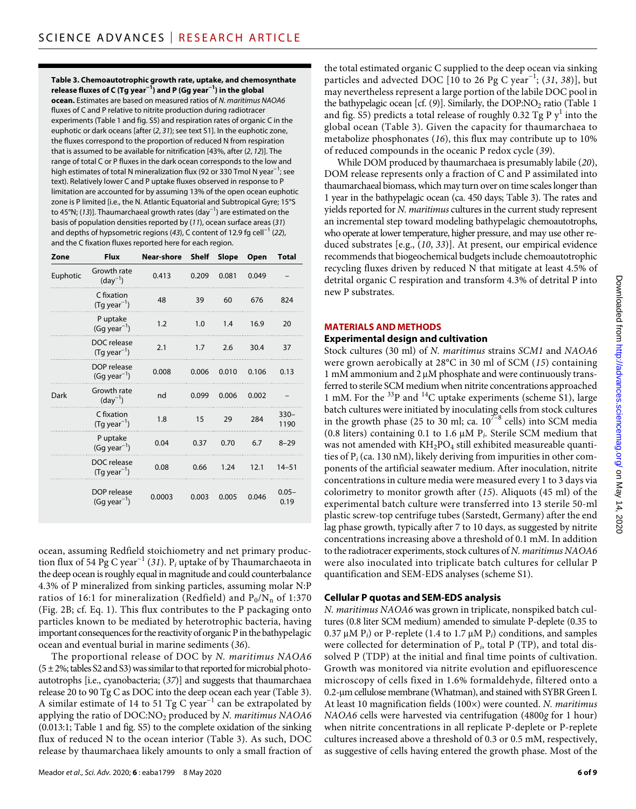**Table 3. Chemoautotrophic growth rate, uptake, and chemosynthate release fluxes of C (Tg year−1) and P (Gg year−1) in the global** 

**ocean.** Estimates are based on measured ratios of *N. maritimus NAOA6* fluxes of C and P relative to nitrite production during radiotracer experiments (Table 1 and fig. S5) and respiration rates of organic C in the euphotic or dark oceans [after (*2*, *31*); see text S1]. In the euphotic zone, the fluxes correspond to the proportion of reduced N from respiration that is assumed to be available for nitrification [43%, after (*2*, *12*)]. The range of total C or P fluxes in the dark ocean corresponds to the low and high estimates of total N mineralization flux (92 or 330 Tmol N year<sup>-1</sup>; see text). Relatively lower C and P uptake fluxes observed in response to P limitation are accounted for by assuming 13% of the open ocean euphotic zone is P limited [i.e., the N. Atlantic Equatorial and Subtropical Gyre; 15°S to 45°N; (*13*)]. Thaumarchaeal growth rates (day−1) are estimated on the basis of population densities reported by (*11*), ocean surface areas (*31*) and depths of hypsometric regions (*43*), C content of 12.9 fg cell−1 (*22*), and the C fixation fluxes reported here for each region.

| Zone     | <b>Flux</b>                             | Near-shore | <b>Shelf</b> | Slope | Open  | Total            |
|----------|-----------------------------------------|------------|--------------|-------|-------|------------------|
| Euphotic | Growth rate<br>$(day^{-1})$             | 0.413      | 0.209        | 0.081 | 0.049 |                  |
|          | C fixation<br>$(Tg \, year^{-1})$       | 48         | 39           | 60    | 676   | 824              |
|          | P uptake<br>$(Gg \, year^{-1})$         | 1.2        | 1.0          | 1.4   | 16.9  | 20               |
|          | DOC release<br>$(Tq \text{ year}^{-1})$ | 2.1        | 1.7          | 2.6   | 30.4  | 37               |
|          | DOP release<br>$(Gq \text{ year}^{-1})$ | 0.008      | 0.006        | 0.010 | 0.106 | 0.13             |
| Dark     | Growth rate<br>$(day^{-1})$             | nd         | 0.099        | 0.006 | 0.002 |                  |
|          | C fixation<br>$(Tq \, year^{-1})$       | 1.8        | 15           | 29    | 284   | $330 -$<br>1190  |
|          | P uptake<br>$(Gq \text{ year}^{-1})$    | 0.04       | 0.37         | 0.70  | 6.7   | $8 - 29$         |
|          | DOC release<br>$(Tq \text{ year}^{-1})$ | 0.08       | 0.66         | 1.24  | 12.1  | $14 - 51$        |
|          | DOP release<br>$(Gq \text{ year}^{-1})$ | 0.0003     | 0.003        | 0.005 | 0.046 | $0.05 -$<br>0.19 |

ocean, assuming Redfield stoichiometry and net primary production flux of 54 Pg C year<sup>-1</sup> (31). P<sub>i</sub> uptake of by Thaumarchaeota in the deep ocean is roughly equal in magnitude and could counterbalance 4.3% of P mineralized from sinking particles, assuming molar N:P ratios of 16:1 for mineralization (Redfield) and  $P_0/N_n$  of 1:370 (Fig. 2B; cf. Eq. 1). This flux contributes to the P packaging onto particles known to be mediated by heterotrophic bacteria, having important consequences for the reactivity of organic P in the bathypelagic ocean and eventual burial in marine sediments (*36*).

The proportional release of DOC by *N. maritimus NAOA6*  $(5 \pm 2\%)$ ; tables S2 and S3) was similar to that reported for microbial photoautotrophs [i.e., cyanobacteria; (*37*)] and suggests that thaumarchaea release 20 to 90 Tg C as DOC into the deep ocean each year (Table 3). A similar estimate of 14 to 51 Tg C year<sup>-1</sup> can be extrapolated by applying the ratio of DOC:NO2 produced by *N. maritimus NAOA6* (0.013:1; Table 1 and fig. S5) to the complete oxidation of the sinking flux of reduced N to the ocean interior (Table 3). As such, DOC release by thaumarchaea likely amounts to only a small fraction of

Meador *et al*., *Sci. Adv.* 2020; **6** : eaba1799 8 May 2020

the total estimated organic C supplied to the deep ocean via sinking particles and advected DOC [10 to 26 Pg C year−1; (*31*, *38*)], but may nevertheless represent a large portion of the labile DOC pool in the bathypelagic ocean [cf. (9)]. Similarly, the DOP:NO<sub>2</sub> ratio (Table 1 and fig. S5) predicts a total release of roughly 0.32 Tg P  $y^1$  into the global ocean (Table 3). Given the capacity for thaumarchaea to metabolize phosphonates (*16*), this flux may contribute up to 10% of reduced compounds in the oceanic P redox cycle (*39*).

While DOM produced by thaumarchaea is presumably labile (*20*), DOM release represents only a fraction of C and P assimilated into thaumarchaeal biomass, which may turn over on time scales longer than 1 year in the bathypelagic ocean (ca. 450 days; Table 3). The rates and yields reported for *N. maritimus* cultures in the current study represent an incremental step toward modeling bathypelagic chemoautotrophs, who operate at lower temperature, higher pressure, and may use other reduced substrates [e.g., (*10*, *33*)]. At present, our empirical evidence recommends that biogeochemical budgets include chemoautotrophic recycling fluxes driven by reduced N that mitigate at least 4.5% of detrital organic C respiration and transform 4.3% of detrital P into new P substrates.

# **MATERIALS AND METHODS**

#### **Experimental design and cultivation**

Stock cultures (30 ml) of *N. maritimus* strains *SCM1* and *NAOA6* were grown aerobically at 28°C in 30 ml of SCM (*15*) containing 1 mM ammonium and 2  $\mu$ M phosphate and were continuously transferred to sterile SCM medium when nitrite concentrations approached 1 mM. For the  $^{33}P$  and  $^{14}C$  uptake experiments (scheme S1), large batch cultures were initiated by inoculating cells from stock cultures in the growth phase (25 to 30 ml; ca.  $10^{7-8}$  cells) into SCM media (0.8 liters) containing 0.1 to 1.6  $\mu$ M P<sub>*i*</sub>. Sterile SCM medium that was not amended with  $KH_{2}PO_{4}$  still exhibited measureable quantities of P*i* (ca. 130 nM), likely deriving from impurities in other components of the artificial seawater medium. After inoculation, nitrite concentrations in culture media were measured every 1 to 3 days via colorimetry to monitor growth after (*15*). Aliquots (45 ml) of the experimental batch culture were transferred into 13 sterile 50-ml plastic screw-top centrifuge tubes (Sarstedt, Germany) after the end lag phase growth, typically after 7 to 10 days, as suggested by nitrite concentrations increasing above a threshold of 0.1 mM. In addition to the radiotracer experiments, stock cultures of *N. maritimus NAOA6* were also inoculated into triplicate batch cultures for cellular P quantification and SEM-EDS analyses (scheme S1).

# **Cellular P quotas and SEM-EDS analysis**

*N. maritimus NAOA6* was grown in triplicate, nonspiked batch cultures (0.8 liter SCM medium) amended to simulate P-deplete (0.35 to 0.37  $\mu$ M P<sub>*i*</sub>) or P-replete (1.4 to 1.7  $\mu$ M P<sub>*i*</sub>) conditions, and samples were collected for determination of  $P_i$ , total  $P$  (TP), and total dissolved P (TDP) at the initial and final time points of cultivation. Growth was monitored via nitrite evolution and epifluorescence microscopy of cells fixed in 1.6% formaldehyde, filtered onto a 0.2-m cellulose membrane (Whatman), and stained with SYBR Green I. At least 10 magnification fields (100×) were counted. *N. maritimus NAOA6* cells were harvested via centrifugation (4800*g* for 1 hour) when nitrite concentrations in all replicate P-deplete or P-replete cultures increased above a threshold of 0.3 or 0.5 mM, respectively, as suggestive of cells having entered the growth phase. Most of the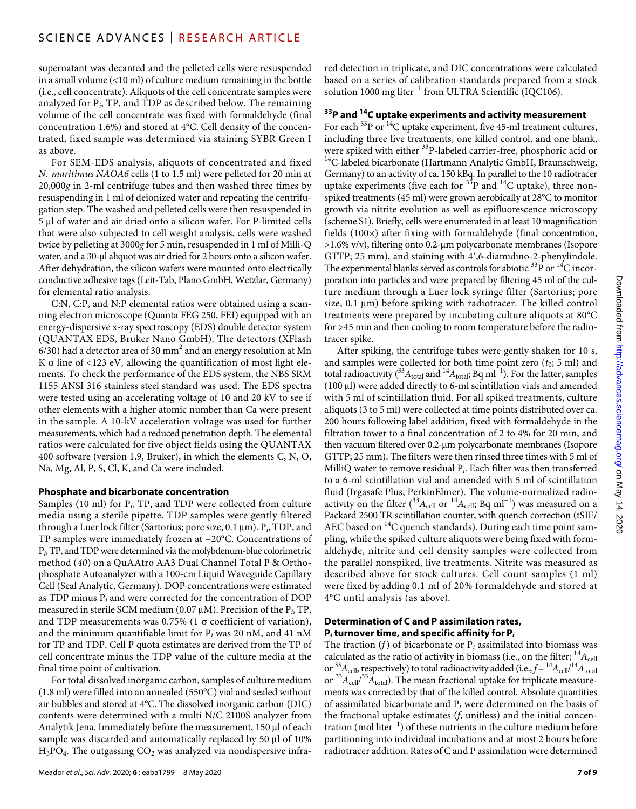supernatant was decanted and the pelleted cells were resuspended in a small volume (<10 ml) of culture medium remaining in the bottle (i.e., cell concentrate). Aliquots of the cell concentrate samples were analyzed for P*i*, TP, and TDP as described below. The remaining volume of the cell concentrate was fixed with formaldehyde (final concentration 1.6%) and stored at 4°C. Cell density of the concentrated, fixed sample was determined via staining SYBR Green I as above.

For SEM-EDS analysis, aliquots of concentrated and fixed *N. maritimus NAOA6* cells (1 to 1.5 ml) were pelleted for 20 min at 20,000*g* in 2-ml centrifuge tubes and then washed three times by resuspending in 1 ml of deionized water and repeating the centrifugation step. The washed and pelleted cells were then resuspended in 5 µl of water and air dried onto a silicon wafer. For P-limited cells that were also subjected to cell weight analysis, cells were washed twice by pelleting at 3000*g* for 5 min, resuspended in 1 ml of Milli-Q water, and a 30-µl aliquot was air dried for 2 hours onto a silicon wafer. After dehydration, the silicon wafers were mounted onto electrically conductive adhesive tags (Leit-Tab, Plano GmbH, Wetzlar, Germany) for elemental ratio analysis.

C:N, C:P, and N:P elemental ratios were obtained using a scanning electron microscope (Quanta FEG 250, FEI) equipped with an energy-dispersive x-ray spectroscopy (EDS) double detector system (QUANTAX EDS, Bruker Nano GmbH). The detectors (XFlash 6/30) had a detector area of 30  $\mathrm{mm}^2$  and an energy resolution at Mn K  $\alpha$  line of <123 eV, allowing the quantification of most light elements. To check the performance of the EDS system, the NBS SRM 1155 ANSI 316 stainless steel standard was used. The EDS spectra were tested using an accelerating voltage of 10 and 20 kV to see if other elements with a higher atomic number than Ca were present in the sample. A 10-kV acceleration voltage was used for further measurements, which had a reduced penetration depth. The elemental ratios were calculated for five object fields using the QUANTAX 400 software (version 1.9, Bruker), in which the elements C, N, O, Na, Mg, Al, P, S, Cl, K, and Ca were included.

# **Phosphate and bicarbonate concentration**

Samples (10 ml) for P*i*, TP, and TDP were collected from culture media using a sterile pipette. TDP samples were gently filtered through a Luer lock filter (Sartorius; pore size, 0.1 µm). P<sub>i</sub>, TDP, and TP samples were immediately frozen at −20°C. Concentrations of P*i*, TP, and TDP were determined via the molybdenum-blue colorimetric method (*40*) on a QuAAtro AA3 Dual Channel Total P & Orthophosphate Autoanalyzer with a 100-cm Liquid Waveguide Capillary Cell (Seal Analytic, Germany). DOP concentrations were estimated as TDP minus P*i* and were corrected for the concentration of DOP measured in sterile SCM medium (0.07  $\mu$ M). Precision of the P<sub>*i*</sub>, TP, and TDP measurements was 0.75% (1  $\sigma$  coefficient of variation), and the minimum quantifiable limit for P*i* was 20 nM, and 41 nM for TP and TDP. Cell P quota estimates are derived from the TP of cell concentrate minus the TDP value of the culture media at the final time point of cultivation.

For total dissolved inorganic carbon, samples of culture medium (1.8 ml) were filled into an annealed (550°C) vial and sealed without air bubbles and stored at 4°C. The dissolved inorganic carbon (DIC) contents were determined with a multi N/C 2100S analyzer from Analytik Jena. Immediately before the measurement,  $150 \mu l$  of each sample was discarded and automatically replaced by 50 µl of 10%  $H_3PO_4$ . The outgassing  $CO_2$  was analyzed via nondispersive infrared detection in triplicate, and DIC concentrations were calculated based on a series of calibration standards prepared from a stock solution 1000 mg liter<sup>-1</sup> from ULTRA Scientific (IQC106).

# **33P and 14C uptake experiments and activity measurement**

For each  $^{33}P$  or  $^{14}C$  uptake experiment, five 45-ml treatment cultures, including three live treatments, one killed control, and one blank, were spiked with either  $33P$ -labeled carrier-free, phosphoric acid or <sup>14</sup>C-labeled bicarbonate (Hartmann Analytic GmbH, Braunschweig, Germany) to an activity of ca. 150 kBq. In parallel to the 10 radiotracer uptake experiments (five each for  $33P$  and  $14C$  uptake), three nonspiked treatments (45 ml) were grown aerobically at 28°C to monitor growth via nitrite evolution as well as epifluorescence microscopy (scheme S1). Briefly, cells were enumerated in at least 10 magnification fields (100×) after fixing with formaldehyde (final concentration,  $>1.6\%$  v/v), filtering onto 0.2-µm polycarbonate membranes (Isopore GTTP; 25 mm), and staining with 4′,6-diamidino-2-phenylindole. The experimental blanks served as controls for abiotic  $^{33}P$  or  $^{14}C$  incorporation into particles and were prepared by filtering 45 ml of the culture medium through a Luer lock syringe filter (Sartorius; pore size,  $0.1 \mu m$ ) before spiking with radiotracer. The killed control treatments were prepared by incubating culture aliquots at 80°C for >45 min and then cooling to room temperature before the radiotracer spike.

After spiking, the centrifuge tubes were gently shaken for 10 s, and samples were collected for both time point zero  $(t_0; 5 \text{ ml})$  and total radioactivity ( $3A_{total}$  and  $14A_{total}$ ; Bq ml<sup>-1</sup>). For the latter, samples (100 µl) were added directly to 6-ml scintillation vials and amended with 5 ml of scintillation fluid. For all spiked treatments, culture aliquots (3 to 5 ml) were collected at time points distributed over ca. 200 hours following label addition, fixed with formaldehyde in the filtration tower to a final concentration of 2 to 4% for 20 min, and then vacuum filtered over 0.2-µm polycarbonate membranes (Isopore GTTP; 25 mm). The filters were then rinsed three times with 5 ml of MilliQ water to remove residual P*i*. Each filter was then transferred to a 6-ml scintillation vial and amended with 5 ml of scintillation fluid (Irgasafe Plus, PerkinElmer). The volume-normalized radioactivity on the filter ( $33A_{cell}$  or  $14A_{cell}$ ; Bq ml<sup>-1</sup>) was measured on a Packard 2500 TR scintillation counter, with quench correction (tSIE/ AEC based on <sup>14</sup>C quench standards). During each time point sampling, while the spiked culture aliquots were being fixed with formaldehyde, nitrite and cell density samples were collected from the parallel nonspiked, live treatments. Nitrite was measured as described above for stock cultures. Cell count samples (1 ml) were fixed by adding 0.1 ml of 20% formaldehyde and stored at 4°C until analysis (as above).

#### **Determination of C and P assimilation rates, Pi turnover time, and specific affinity for P***<sup>i</sup>*

The fraction  $(f)$  of bicarbonate or  $P_i$  assimilated into biomass was calculated as the ratio of activity in biomass (i.e., on the filter;  $^{14}A_{cell}$ or  $^{33}A_{\text{cell}}$ , respectively) to total radioactivity added (i.e.,  $f = ^{14}A_{\text{cell}}/^{14}A_{\text{total}}$ or  $^{33}A_{\text{cell}}/^{33}A_{\text{total}}$ ). The mean fractional uptake for triplicate measurements was corrected by that of the killed control. Absolute quantities of assimilated bicarbonate and P*i* were determined on the basis of the fractional uptake estimates (*f*, unitless) and the initial concentration (mol liter<sup>-1</sup>) of these nutrients in the culture medium before partitioning into individual incubations and at most 2 hours before radiotracer addition. Rates of C and P assimilation were determined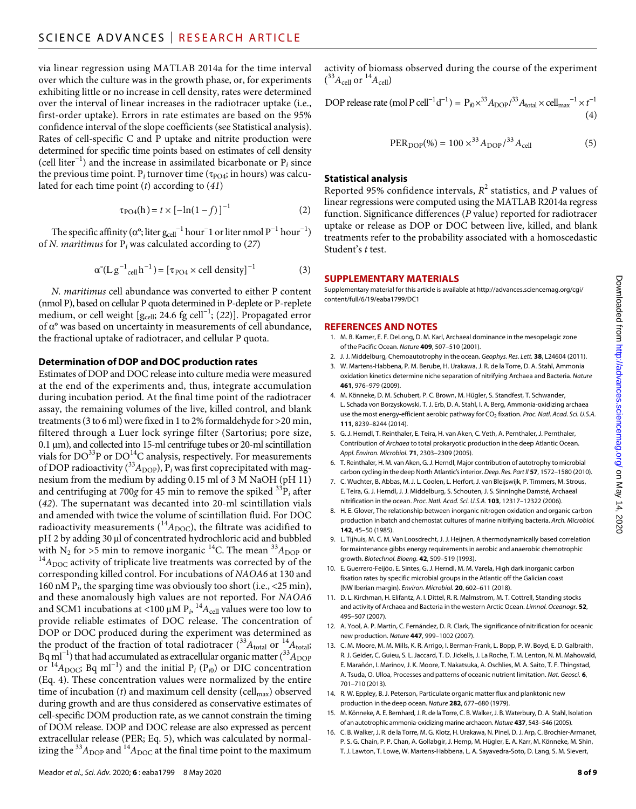via linear regression using MATLAB 2014a for the time interval over which the culture was in the growth phase, or, for experiments exhibiting little or no increase in cell density, rates were determined over the interval of linear increases in the radiotracer uptake (i.e., first-order uptake). Errors in rate estimates are based on the 95% confidence interval of the slope coefficients (see Statistical analysis). Rates of cell-specific C and P uptake and nitrite production were determined for specific time points based on estimates of cell density (cell liter<sup> $-1$ </sup>) and the increase in assimilated bicarbonate or  $P_i$  since the previous time point.  $P_i$  turnover time ( $\tau_{PO4}$ ; in hours) was calculated for each time point (*t*) according to (*41*)

$$
\tau_{\rm PO4}(h) = t \times [-\ln(1-f)]^{-1} \tag{2}
$$

The specific affinity ( $\alpha^{\circ}$ ; liter  $\mathrm{g_{cell}}^{-1}$  hour $^{-1}$  or liter nmol  $\mathrm{P}^{-1}$  hour $^{-1})$ of *N. maritimus* for P*i* was calculated according to (*27*)

$$
\alpha^{\circ}(\text{L}\,\text{g}^{-1}\text{cell}\,\text{h}^{-1}) = [\tau_{\text{PO4}} \times \text{cell density}]^{-1} \tag{3}
$$

*N. maritimus* cell abundance was converted to either P content (nmol P), based on cellular P quota determined in P-deplete or P-replete medium, or cell weight [g<sub>cell</sub>; 24.6 fg cell<sup>-1</sup>; (22)]. Propagated error of  $\alpha$ <sup>o</sup> was based on uncertainty in measurements of cell abundance, the fractional uptake of radiotracer, and cellular P quota.

# **Determination ofDOP andDOC production rates**

Estimates of DOP and DOC release into culture media were measured at the end of the experiments and, thus, integrate accumulation during incubation period. At the final time point of the radiotracer assay, the remaining volumes of the live, killed control, and blank treatments (3 to 6 ml) were fixed in 1 to 2% formaldehyde for >20 min, filtered through a Luer lock syringe filter (Sartorius; pore size,  $0.1 \mu m$ ), and collected into 15-ml centrifuge tubes or 20-ml scintillation vials for  $DO^{33}P$  or  $DO^{14}C$  analysis, respectively. For measurements of DOP radioactivity  $\binom{33}{1}\text{DOP}$ ,  $P_i$  was first coprecipitated with magnesium from the medium by adding 0.15 ml of 3 M NaOH (pH 11) and centrifuging at 700 $g$  for 45 min to remove the spiked  ${}^{33}P_i$  after (*42*). The supernatant was decanted into 20-ml scintillation vials and amended with twice the volume of scintillation fluid. For DOC radioactivity measurements ( ${}^{14}A_{\text{DOC}}$ ), the filtrate was acidified to pH 2 by adding 30 µl of concentrated hydrochloric acid and bubbled with  $N_2$  for  $>5$  min to remove inorganic <sup>14</sup>C. The mean <sup>33</sup> $A_{\text{DOP}}$  or <sup>14</sup> $A_{\text{DOC}}$  activity of triplicate live treatments was corrected by of the corresponding killed control. For incubations of *NAOA6* at 130 and 160 nM P*i*, the sparging time was obviously too short (i.e., <25 min), and these anomalously high values are not reported. For *NAOA6* and SCM1 incubations at <100  $\mu$ M P<sub>i</sub>, <sup>14</sup> $A_{cell}$  values were too low to provide reliable estimates of DOC release. The concentration of DOP or DOC produced during the experiment was determined as the product of the fraction of total radiotracer  $\binom{33}{4}$  total or  $\binom{14}{4}$  total; Bq ml<sup>-1</sup>) that had accumulated as extracellular organic matter (<sup>33</sup> $A_{\text{DOP}}$ or  $14A_{\text{DOC}}$ ; Bq ml<sup>-1</sup>) and the initial P<sub>i</sub> (P<sub>i0</sub>) or DIC concentration (Eq. 4). These concentration values were normalized by the entire time of incubation  $(t)$  and maximum cell density (cell<sub>max</sub>) observed during growth and are thus considered as conservative estimates of cell-specific DOM production rate, as we cannot constrain the timing of DOM release. DOP and DOC release are also expressed as percent extracellular release (PER; Eq. 5), which was calculated by normalizing the  $^{33}A_{\text{DOP}}$  and  $^{14}A_{\text{DOC}}$  at the final time point to the maximum

activity of biomass observed during the course of the experiment  $(^{33}A_{\text{cell}}$  or  $^{14}A_{\text{cell}}$ )

DOP release rate (mol P cell<sup>-1</sup>d<sup>-1</sup>) = 
$$
P_{i0} \times^{33} A_{\text{DOP}} /^{33} A_{\text{total}} \times \text{cell}_{\text{max}}^{-1} \times t^{-1}
$$
 (4)

PER<sub>DOP</sub>(%) = 100 
$$
\times^{33} A_{\text{DOP}} / ^{33} A_{\text{cell}}
$$
 (5)

#### **Statistical analysis**

Reported 95% confidence intervals,  $R^2$  statistics, and  $P$  values of linear regressions were computed using the MATLAB R2014a regress function. Significance differences (*P* value) reported for radiotracer uptake or release as DOP or DOC between live, killed, and blank treatments refer to the probability associated with a homoscedastic Student's *t* test.

#### **SUPPLEMENTARY MATERIALS**

Supplementary material for this article is available at [http://advances.sciencemag.org/cgi/](http://advances.sciencemag.org/cgi/content/full/6/19/eaba1799/DC1) [content/full/6/19/eaba1799/DC1](http://advances.sciencemag.org/cgi/content/full/6/19/eaba1799/DC1)

#### **REFERENCES AND NOTES**

- 1. M. B. Karner, E. F. DeLong, D. M. Karl, Archaeal dominance in the mesopelagic zone of the Pacific Ocean. *Nature* **409**, 507–510 (2001).
- 2. J. J. Middelburg, Chemoautotrophy in the ocean. *Geophys. Res. Lett.* **38**, L24604 (2011).
- 3. W. Martens-Habbena, P. M. Berube, H. Urakawa, J. R. de la Torre, D. A. Stahl, Ammonia oxidation kinetics determine niche separation of nitrifying Archaea and Bacteria. *Nature* **461**, 976–979 (2009).
- 4. M. Könneke, D. M. Schubert, P. C. Brown, M. Hügler, S. Standfest, T. Schwander, L. Schada von Borzyskowski, T. J. Erb, D. A. Stahl, I. A. Berg, Ammonia-oxidizing archaea use the most energy-efficient aerobic pathway for CO<sub>2</sub> fixation. *Proc. Natl. Acad. Sci. U.S.A.* **111**, 8239–8244 (2014).
- 5. G. J. Herndl, T. Reinthaler, E. Teira, H. van Aken, C. Veth, A. Pernthaler, J. Pernthaler, Contribution of *Archaea* to total prokaryotic production in the deep Atlantic Ocean. *Appl. Environ. Microbiol.* **71**, 2303–2309 (2005).
- 6. T. Reinthaler, H. M. van Aken, G. J. Herndl, Major contribution of autotrophy to microbial carbon cycling in the deep North Atlantic's interior. *Deep. Res. Part II* **57**, 1572–1580 (2010).
- 7. C. Wuchter, B. Abbas, M. J. L. Coolen, L. Herfort, J. van Bleijswijk, P. Timmers, M. Strous, E. Teira, G. J. Herndl, J. J. Middelburg, S. Schouten, J. S. Sinninghe Damsté, Archaeal nitrification in the ocean. *Proc. Natl. Acad. Sci. U.S.A.* **103**, 12317–12322 (2006).
- 8. H. E. Glover, The relationship between inorganic nitrogen oxidation and organic carbon production in batch and chemostat cultures of marine nitrifying bacteria. *Arch. Microbiol.* **142**, 45–50 (1985).
- 9. L. Tijhuis, M. C. M. Van Loosdrecht, J. J. Heijnen, A thermodynamically based correlation for maintenance gibbs energy requirements in aerobic and anaerobic chemotrophic growth. *Biotechnol. Bioeng.* **42**, 509–519 (1993).
- 10. E. Guerrero-Feijóo, E. Sintes, G. J. Herndl, M. M. Varela, High dark inorganic carbon fixation rates by specific microbial groups in the Atlantic off the Galician coast (NW Iberian margin). *Environ. Microbiol.* **20**, 602–611 (2018).
- 11. D. L. Kirchman, H. Elifantz, A. I. Dittel, R. R. Malmstrom, M. T. Cottrell, Standing stocks and activity of Archaea and Bacteria in the western Arctic Ocean. *Limnol. Oceanogr.* **52**, 495–507 (2007).
- 12. A. Yool, A. P. Martin, C. Fernández, D. R. Clark, The significance of nitrification for oceanic new production. *Nature* **447**, 999–1002 (2007).
- 13. C. M. Moore, M. M. Mills, K. R. Arrigo, I. Berman-Frank, L. Bopp, P. W. Boyd, E. D. Galbraith, R. J. Geider, C. Guieu, S. L. Jaccard, T. D. Jickells, J. La Roche, T. M. Lenton, N. M. Mahowald, E. Marañón, I. Marinov, J. K. Moore, T. Nakatsuka, A. Oschlies, M. A. Saito, T. F. Thingstad, A. Tsuda, O. Ulloa, Processes and patterns of oceanic nutrient limitation. *Nat. Geosci.* **6**, 701–710 (2013).
- 14. R. W. Eppley, B. J. Peterson, Particulate organic matter flux and planktonic new production in the deep ocean. *Nature* **282**, 677–680 (1979).
- 15. M. Könneke, A. E. Bernhard, J. R. de la Torre, C. B. Walker, J. B. Waterbury, D. A. Stahl, Isolation of anautotrophic ammonia-oxidizing marine archaeon. *Nature* **437**, 543–546 (2005).
- 16. C. B. Walker, J. R. de la Torre, M. G. Klotz, H. Urakawa, N. Pinel, D. J. Arp, C. Brochier-Armanet, P. S. G. Chain, P. P. Chan, A. Gollabgir, J. Hemp, M. Hügler, E. A. Karr, M. Könneke, M. Shin, T. J. Lawton, T. Lowe, W. Martens-Habbena, L. A. Sayavedra-Soto, D. Lang, S. M. Sievert,